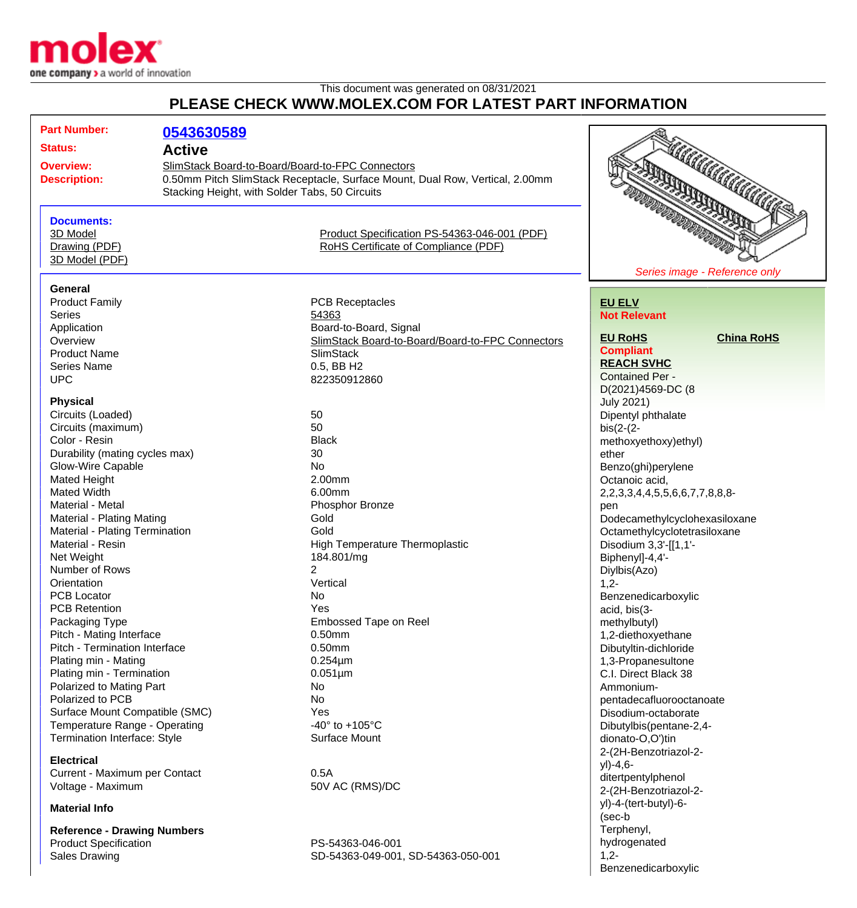

## This document was generated on 08/31/2021 **PLEASE CHECK WWW.MOLEX.COM FOR LATEST PART INFORMATION**

| <b>Part Number:</b>                       |               |                                                                              |                                                    |
|-------------------------------------------|---------------|------------------------------------------------------------------------------|----------------------------------------------------|
|                                           | 0543630589    |                                                                              |                                                    |
| <b>Status:</b>                            | <b>Active</b> |                                                                              |                                                    |
| <b>Overview:</b><br><b>Description:</b>   |               | SlimStack Board-to-Board/Board-to-FPC Connectors                             |                                                    |
|                                           |               | 0.50mm Pitch SlimStack Receptacle, Surface Mount, Dual Row, Vertical, 2.00mm |                                                    |
|                                           |               | Stacking Height, with Solder Tabs, 50 Circuits                               |                                                    |
|                                           |               |                                                                              | <b>ARCHANGE CONTROLLED</b><br><b>REAL PROPERTY</b> |
| <b>Documents:</b>                         |               |                                                                              |                                                    |
| 3D Model                                  |               | Product Specification PS-54363-046-001 (PDF)                                 |                                                    |
| Drawing (PDF)                             |               | RoHS Certificate of Compliance (PDF)                                         |                                                    |
| 3D Model (PDF)                            |               |                                                                              |                                                    |
|                                           |               |                                                                              | Series image - Reference only                      |
| General                                   |               |                                                                              |                                                    |
| <b>Product Family</b>                     |               | <b>PCB Receptacles</b>                                                       | <b>EU ELV</b>                                      |
| <b>Series</b>                             |               | 54363                                                                        | <b>Not Relevant</b>                                |
| Application                               |               | Board-to-Board, Signal                                                       |                                                    |
| Overview                                  |               | SlimStack Board-to-Board/Board-to-FPC Connectors                             | <b>EU RoHS</b><br><b>China RoHS</b>                |
| <b>Product Name</b>                       |               | <b>SlimStack</b>                                                             | <b>Compliant</b>                                   |
| <b>Series Name</b>                        |               | 0.5, BB H2                                                                   | <b>REACH SVHC</b>                                  |
| <b>UPC</b>                                |               | 822350912860                                                                 | <b>Contained Per -</b>                             |
|                                           |               |                                                                              | D(2021)4569-DC (8                                  |
| <b>Physical</b>                           |               |                                                                              | <b>July 2021)</b>                                  |
| Circuits (Loaded)                         |               | 50                                                                           | Dipentyl phthalate                                 |
| Circuits (maximum)                        |               | 50                                                                           | $bis(2-(2-$                                        |
| Color - Resin                             |               | <b>Black</b>                                                                 | methoxyethoxy)ethyl)                               |
| Durability (mating cycles max)            |               | 30                                                                           | ether                                              |
| <b>Glow-Wire Capable</b>                  |               | <b>No</b>                                                                    |                                                    |
|                                           |               | 2.00mm                                                                       | Benzo(ghi)perylene                                 |
| <b>Mated Height</b><br><b>Mated Width</b> |               | 6.00mm                                                                       | Octanoic acid,                                     |
| Material - Metal                          |               |                                                                              | 2, 2, 3, 3, 4, 4, 5, 5, 6, 6, 7, 7, 8, 8, 8-       |
|                                           |               | Phosphor Bronze<br>Gold                                                      | pen                                                |
| <b>Material - Plating Mating</b>          |               | Gold                                                                         | Dodecamethylcyclohexasiloxane                      |
| Material - Plating Termination            |               |                                                                              | Octamethylcyclotetrasiloxane                       |
| Material - Resin                          |               | High Temperature Thermoplastic                                               | Disodium 3,3'-[[1,1'-                              |
| Net Weight                                |               | 184.801/mg                                                                   | Biphenyl]-4,4'-                                    |
| Number of Rows                            |               | 2                                                                            | Diylbis(Azo)                                       |
| Orientation                               |               | Vertical                                                                     | $1,2-$                                             |
| <b>PCB Locator</b>                        |               | No                                                                           | Benzenedicarboxylic                                |
| <b>PCB Retention</b>                      |               | Yes                                                                          | acid, bis(3-                                       |
| Packaging Type                            |               | Embossed Tape on Reel                                                        | methylbutyl)                                       |
| Pitch - Mating Interface                  |               | 0.50mm                                                                       | 1,2-diethoxyethane                                 |
| Pitch - Termination Interface             |               | 0.50mm                                                                       | Dibutyltin-dichloride                              |
| Plating min - Mating                      |               | $0.254 \mu m$                                                                | 1,3-Propanesultone                                 |
| Plating min - Termination                 |               | $0.051 \mu m$                                                                | C.I. Direct Black 38                               |
| Polarized to Mating Part                  |               | No                                                                           | Ammonium-                                          |
| Polarized to PCB                          |               | No                                                                           | pentadecafluorooctanoate                           |
| Surface Mount Compatible (SMC)            |               | Yes                                                                          | Disodium-octaborate                                |
| Temperature Range - Operating             |               | $-40^{\circ}$ to $+105^{\circ}$ C                                            | Dibutylbis(pentane-2,4-                            |
| Termination Interface: Style              |               | <b>Surface Mount</b>                                                         | dionato-O,O')tin                                   |
|                                           |               |                                                                              | 2-(2H-Benzotriazol-2-                              |
| <b>Electrical</b>                         |               |                                                                              | yl)-4,6-                                           |
| Current - Maximum per Contact             |               | 0.5A                                                                         | ditertpentylphenol                                 |
| Voltage - Maximum                         |               | 50V AC (RMS)/DC                                                              | 2-(2H-Benzotriazol-2-                              |
| <b>Material Info</b>                      |               | yl)-4-(tert-butyl)-6-                                                        |                                                    |
|                                           |               |                                                                              | (sec-b                                             |

**Reference - Drawing Numbers** Product Specification **PS-54363-046-001** 

Sales Drawing Sales Drawing SD-54363-049-001, SD-54363-050-001

Terphenyl, hydrogenated

Benzenedicarboxylic

 $1,2-$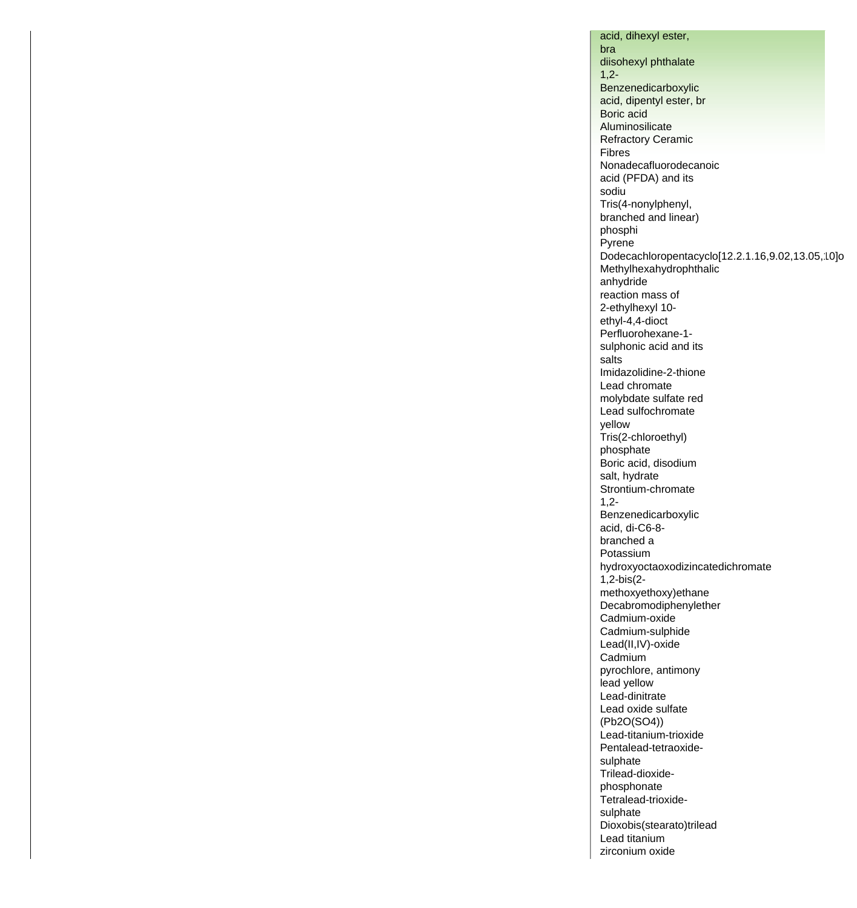acid, dihexyl ester, bra diisohexyl phthalate 1,2- Benzenedicarboxylic acid, dipentyl ester, br Boric acid Aluminosilicate Refractory Ceramic Fibres Nonadecafluorodecanoic acid (PFDA) and its sodiu Tris(4-nonylphenyl, branched and linear) phosphi Pyrene Dodecachloropentacyclo[12.2.1.16,9.02,13.05,10]o Methylhexahydrophthalic anhydride reaction mass of 2-ethylhexyl 10 ethyl-4,4-dioct Perfluorohexane-1 sulphonic acid and its salts Imidazolidine-2-thione Lead chromate molybdate sulfate red Lead sulfochromate yellow Tris(2-chloroethyl) phosphate Boric acid, disodium salt, hydrate Strontium-chromate 1,2- Benzenedicarboxylic acid, di-C6-8 branched a Potassium hydroxyoctaoxodizincatedichromate 1,2-bis(2 methoxyethoxy)ethane Decabromodiphenylether Cadmium-oxide Cadmium-sulphide Lead(II,IV)-oxide Cadmium pyrochlore, antimony lead yellow Lead-dinitrate Lead oxide sulfate (Pb2O(SO4)) Lead-titanium-trioxide Pentalead-tetraoxidesulphate Trilead-dioxidephosphonate Tetralead-trioxidesulphate Dioxobis(stearato)trilead Lead titanium zirconium oxide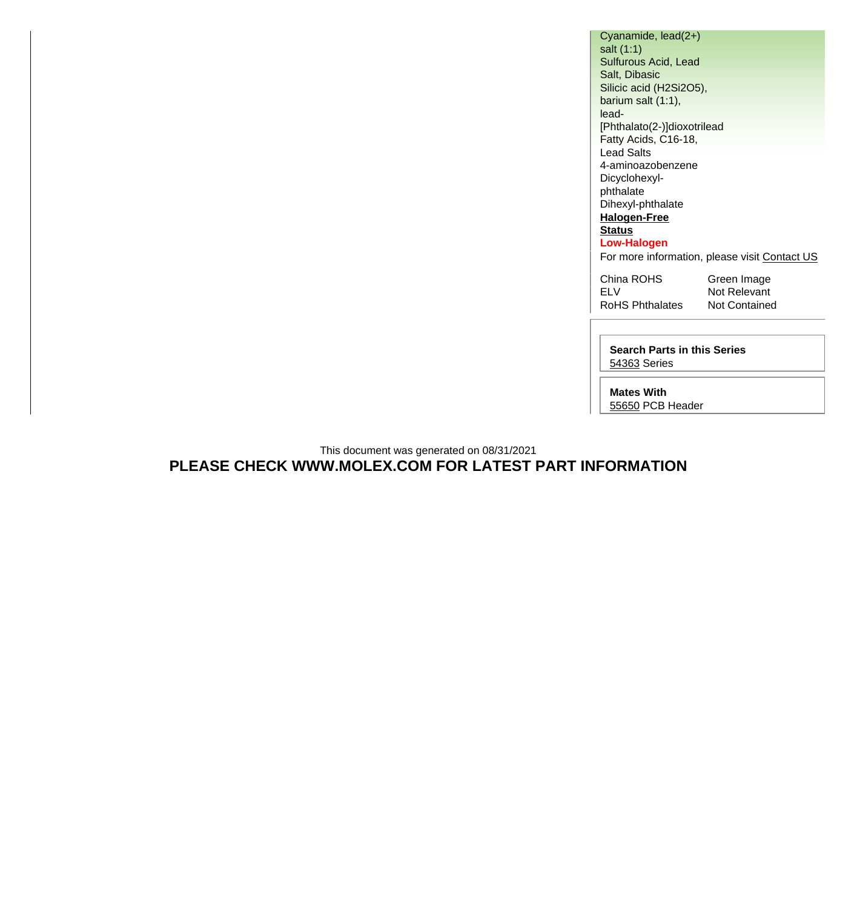Cyanamide, lead(2+) salt (1:1) Sulfurous Acid, Lead Salt, Dibasic Silicic acid (H2Si2O5), barium salt (1:1), lead- [Phthalato(2-)]dioxotrilead Fatty Acids, C16-18, Lead Salts 4-aminoazobenzene Dicyclohexylphthalate Dihexyl-phthalate **[Halogen-Free](http://www.molex.com/molex/common/staticLoader.jsp?fileName=/webcontent/contact/halogen_free.html) [Status](http://www.molex.com/molex/common/staticLoader.jsp?fileName=/webcontent/contact/halogen_free.html) Low-Halogen** For more information, please visit [Contact US](http://www.molex.com/molex/contact/mxcontact.jsp?channel=Contact Us&channelId=-7) China ROHS Green Image ELV Not Relevant RoHS Phthalates Not Contained

**Search Parts in this Series** [54363](http://www.molex.com/molex/search/partSearch?query=54363&pQuery=) Series

**Mates With**

[55650](http://www.molex.com/molex/search/partSearch?pQuery=&sType=s&query=55650) PCB Header

This document was generated on 08/31/2021 **PLEASE CHECK WWW.MOLEX.COM FOR LATEST PART INFORMATION**